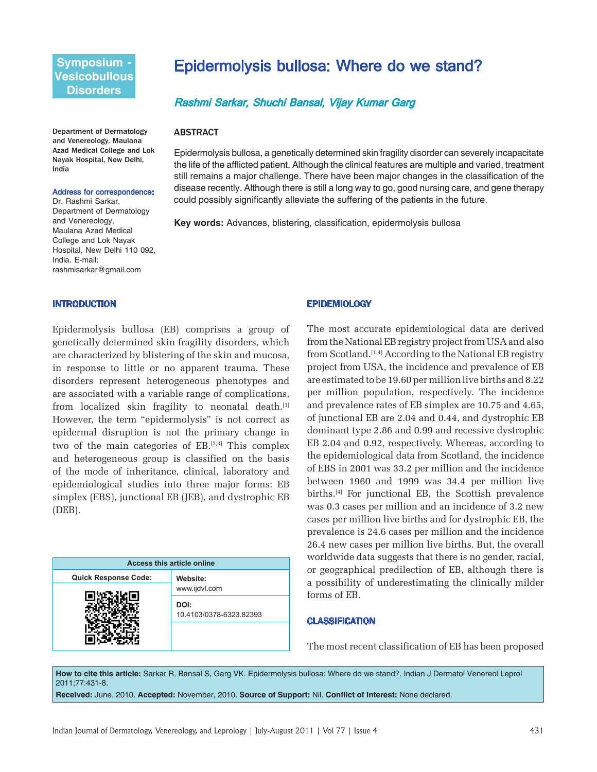## **Symposium - Vesicobullous Disorders**

Department of Dermatology and Venereology, Maulana Azad Medical College and Lok Nayak Hospital, New Delhi, India

#### Address for correspondence:

Dr. Rashmi Sarkar, Department of Dermatology and Venereology, Maulana Azad Medical College and Lok Nayak Hospital, New Delhi 110 092, India. E-mail: rashmisarkar@gmail.com

# Epidermolysis bullosa: Where do we stand?

## Rashmi Sarkar, Shuchi Bansal, Vijay Kumar Garg

#### **ABSTRACT**

Epidermolysis bullosa, a genetically determined skin fragility disorder can severely incapacitate the life of the afflicted patient. Although the clinical features are multiple and varied, treatment still remains a major challenge. There have been major changes in the classification of the disease recently. Although there is still a long way to go, good nursing care, and gene therapy could possibly significantly alleviate the suffering of the patients in the future.

**Key words:** Advances, blistering, classification, epidermolysis bullosa

#### INTRODUCTION

Epidermolysis bullosa (EB) comprises a group of genetically determined skin fragility disorders, which are characterized by blistering of the skin and mucosa, in response to little or no apparent trauma. These disorders represent heterogeneous phenotypes and are associated with a variable range of complications, from localized skin fragility to neonatal death.[1] However, the term "epidermolysis" is not correct as epidermal disruption is not the primary change in two of the main categories of  $EB$ .<sup>[2,3]</sup> This complex and heterogeneous group is classified on the basis of the mode of inheritance, clinical, laboratory and epidemiological studies into three major forms: EB simplex (EBS), junctional EB (JEB), and dystrophic EB (DEB).

| <b>Access this article online</b> |                                 |  |
|-----------------------------------|---------------------------------|--|
| <b>Quick Response Code:</b>       | Website:                        |  |
|                                   | www.ijdvl.com                   |  |
|                                   | DOI:<br>10.4103/0378-6323.82393 |  |
|                                   |                                 |  |

## **EPIDEMIOLOGY**

The most accurate epidemiological data are derived from the National EB registry project from USA and also from Scotland.<sup>[1,4]</sup> According to the National EB registry project from USA, the incidence and prevalence of EB are estimated to be 19.60 per million live births and 8.22 per million population, respectively. The incidence and prevalence rates of EB simplex are 10.75 and 4.65, of junctional EB are 2.04 and 0.44, and dystrophic EB dominant type 2.86 and 0.99 and recessive dystrophic EB 2.04 and 0.92, respectively. Whereas, according to the epidemiological data from Scotland, the incidence of EBS in 2001 was 33.2 per million and the incidence between 1960 and 1999 was 34.4 per million live births.<sup>[4]</sup> For junctional EB, the Scottish prevalence was 0.3 cases per million and an incidence of 3.2 new cases per million live births and for dystrophic EB, the prevalence is 24.6 cases per million and the incidence 26.4 new cases per million live births. But, the overall worldwide data suggests that there is no gender, racial, or geographical predilection of EB, although there is a possibility of underestimating the clinically milder forms of EB.

## **CLASSIFICATION**

The most recent classification of EB has been proposed

**How to cite this article:** Sarkar R, Bansal S, Garg VK. Epidermolysis bullosa: Where do we stand?. Indian J Dermatol Venereol Leprol 2011;77:431-8.

**Received:** June, 2010. **Accepted:** November, 2010. **Source of Support:** Nil. **Conflict of Interest:** None declared.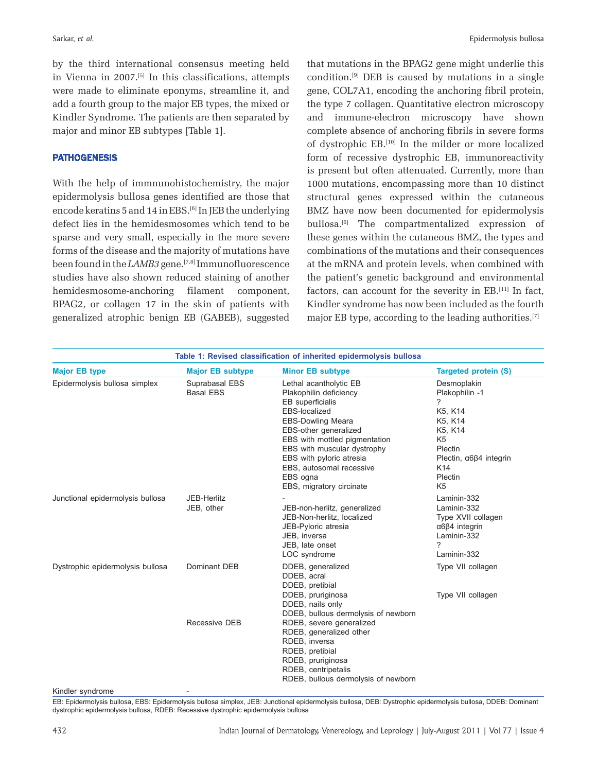by the third international consensus meeting held in Vienna in 2007.[5] In this classifications, attempts were made to eliminate eponyms, streamline it, and add a fourth group to the major EB types, the mixed or Kindler Syndrome. The patients are then separated by major and minor EB subtypes [Table 1].

## **PATHOGENESIS**

With the help of immnunohistochemistry, the major epidermolysis bullosa genes identified are those that encode keratins 5 and 14 in EBS.<sup>[6]</sup> In JEB the underlying defect lies in the hemidesmosomes which tend to be sparse and very small, especially in the more severe forms of the disease and the majority of mutations have been found in the *LAMB3* gene.[7,8] Immunofluorescence studies have also shown reduced staining of another hemidesmosome-anchoring filament component, BPAG2, or collagen 17 in the skin of patients with generalized atrophic benign EB (GABEB), suggested that mutations in the BPAG2 gene might underlie this condition.[9] DEB is caused by mutations in a single gene, COL7A1, encoding the anchoring fibril protein, the type 7 collagen. Quantitative electron microscopy and immune-electron microscopy have shown complete absence of anchoring fibrils in severe forms of dystrophic EB.[10] In the milder or more localized form of recessive dystrophic EB, immunoreactivity is present but often attenuated. Currently, more than 1000 mutations, encompassing more than 10 distinct structural genes expressed within the cutaneous BMZ have now been documented for epidermolysis bullosa.<sup>[6]</sup> The compartmentalized expression of these genes within the cutaneous BMZ, the types and combinations of the mutations and their consequences at the mRNA and protein levels, when combined with the patient's genetic background and environmental factors, can account for the severity in EB.[11] In fact, Kindler syndrome has now been included as the fourth major EB type, according to the leading authorities.[7]

| Table 1: Revised classification of inherited epidermolysis bullosa |                                    |                                                                                                                                                                                                                                                                                                            |                                                                                                                                                                                |  |
|--------------------------------------------------------------------|------------------------------------|------------------------------------------------------------------------------------------------------------------------------------------------------------------------------------------------------------------------------------------------------------------------------------------------------------|--------------------------------------------------------------------------------------------------------------------------------------------------------------------------------|--|
| <b>Major EB type</b>                                               | <b>Major EB subtype</b>            | <b>Minor EB subtype</b>                                                                                                                                                                                                                                                                                    | <b>Targeted protein (S)</b>                                                                                                                                                    |  |
| Epidermolysis bullosa simplex                                      | Suprabasal EBS<br><b>Basal EBS</b> | Lethal acantholytic EB<br>Plakophilin deficiency<br>EB superficialis<br>EBS-localized<br><b>EBS-Dowling Meara</b><br>EBS-other generalized<br>EBS with mottled pigmentation<br>EBS with muscular dystrophy<br>EBS with pyloric atresia<br>EBS, autosomal recessive<br>EBS ogna<br>EBS, migratory circinate | Desmoplakin<br>Plakophilin -1<br>?<br>K5, K14<br>K5, K14<br>K5, K14<br>K <sub>5</sub><br>Plectin<br>Plectin, $\alpha$ 6 $\beta$ 4 integrin<br>K14<br>Plectin<br>K <sub>5</sub> |  |
| Junctional epidermolysis bullosa                                   | JEB-Herlitz<br>JEB, other          | JEB-non-herlitz, generalized<br>JEB-Non-herlitz, localized<br>JEB-Pyloric atresia<br>JEB, inversa<br>JEB, late onset<br>LOC syndrome                                                                                                                                                                       | Laminin-332<br>Laminin-332<br>Type XVII collagen<br>$\alpha$ 684 integrin<br>Laminin-332<br>7<br>Laminin-332                                                                   |  |
| Dystrophic epidermolysis bullosa                                   | Dominant DEB                       | DDEB, generalized<br>DDEB, acral<br>DDEB, pretibial<br>DDEB, pruriginosa<br>DDEB, nails only<br>DDEB, bullous dermolysis of newborn                                                                                                                                                                        | Type VII collagen<br>Type VII collagen                                                                                                                                         |  |
|                                                                    | Recessive DEB                      | RDEB, severe generalized<br>RDEB, generalized other<br>RDEB, inversa<br>RDEB, pretibial<br>RDEB, pruriginosa<br>RDEB, centripetalis<br>RDEB, bullous dermolysis of newborn                                                                                                                                 |                                                                                                                                                                                |  |

Kindler syndrome

EB: Epidermolysis bullosa, EBS: Epidermolysis bullosa simplex, JEB: Junctional epidermolysis bullosa, DEB: Dystrophic epidermolysis bullosa, DDEB: Dominant dystrophic epidermolysis bullosa, RDEB: Recessive dystrophic epidermolysis bullosa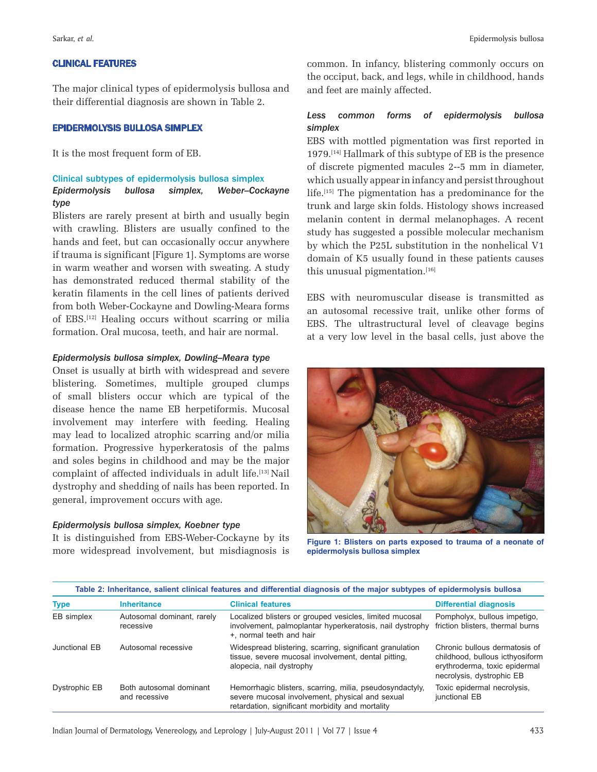The major clinical types of epidermolysis bullosa and their differential diagnosis are shown in Table 2.

#### EPIDERMOLYSIS BULLOSA SIMPLEX

It is the most frequent form of EB.

## Clinical subtypes of epidermolysis bullosa simplex *Epidermolysis bullosa simplex, Weber--Cockayne type*

Blisters are rarely present at birth and usually begin with crawling. Blisters are usually confined to the hands and feet, but can occasionally occur anywhere if trauma is significant [Figure 1]. Symptoms are worse in warm weather and worsen with sweating. A study has demonstrated reduced thermal stability of the keratin filaments in the cell lines of patients derived from both Weber-Cockayne and Dowling-Meara forms of EBS.[12] Healing occurs without scarring or milia formation. Oral mucosa, teeth, and hair are normal.

#### *Epidermolysis bullosa simplex, Dowling--Meara type*

Onset is usually at birth with widespread and severe blistering. Sometimes, multiple grouped clumps of small blisters occur which are typical of the disease hence the name EB herpetiformis. Mucosal involvement may interfere with feeding. Healing may lead to localized atrophic scarring and/or milia formation. Progressive hyperkeratosis of the palms and soles begins in childhood and may be the major complaint of affected individuals in adult life.[13] Nail dystrophy and shedding of nails has been reported. In general, improvement occurs with age.

#### *Epidermolysis bullosa simplex, Koebner type*

It is distinguished from EBS-Weber-Cockayne by its more widespread involvement, but misdiagnosis is common. In infancy, blistering commonly occurs on the occiput, back, and legs, while in childhood, hands and feet are mainly affected.

## *Less common forms of epidermolysis bullosa simplex*

EBS with mottled pigmentation was first reported in 1979.[14] Hallmark of this subtype of EB is the presence of discrete pigmented macules 2--5 mm in diameter, which usually appear in infancy and persist throughout life.[15] The pigmentation has a predominance for the trunk and large skin folds. Histology shows increased melanin content in dermal melanophages. A recent study has suggested a possible molecular mechanism by which the P25L substitution in the nonhelical V1 domain of K5 usually found in these patients causes this unusual pigmentation.<sup>[16]</sup>

EBS with neuromuscular disease is transmitted as an autosomal recessive trait, unlike other forms of EBS. The ultrastructural level of cleavage begins at a very low level in the basal cells, just above the



**Figure 1: Blisters on parts exposed to trauma of a neonate of epidermolysis bullosa simplex**

| Table 2: Inheritance, salient clinical features and differential diagnosis of the major subtypes of epidermolysis bullosa |                                          |                                                                                                                                                                 |                                                                                                                                |  |
|---------------------------------------------------------------------------------------------------------------------------|------------------------------------------|-----------------------------------------------------------------------------------------------------------------------------------------------------------------|--------------------------------------------------------------------------------------------------------------------------------|--|
| <b>Type</b>                                                                                                               | <b>Inheritance</b>                       | <b>Clinical features</b>                                                                                                                                        | <b>Differential diagnosis</b>                                                                                                  |  |
| EB simplex                                                                                                                | Autosomal dominant, rarely<br>recessive  | Localized blisters or grouped vesicles, limited mucosal<br>involvement, palmoplantar hyperkeratosis, nail dystrophy<br>+ normal teeth and hair                  | Pompholyx, bullous impetigo,<br>friction blisters, thermal burns                                                               |  |
| Junctional EB                                                                                                             | Autosomal recessive                      | Widespread blistering, scarring, significant granulation<br>tissue, severe mucosal involvement, dental pitting,<br>alopecia, nail dystrophy                     | Chronic bullous dermatosis of<br>childhood, bullous icthyosiform<br>erythroderma, toxic epidermal<br>necrolysis, dystrophic EB |  |
| Dystrophic EB                                                                                                             | Both autosomal dominant<br>and recessive | Hemorrhagic blisters, scarring, milia, pseudosyndactyly,<br>severe mucosal involvement, physical and sexual<br>retardation, significant morbidity and mortality | Toxic epidermal necrolysis,<br>junctional EB                                                                                   |  |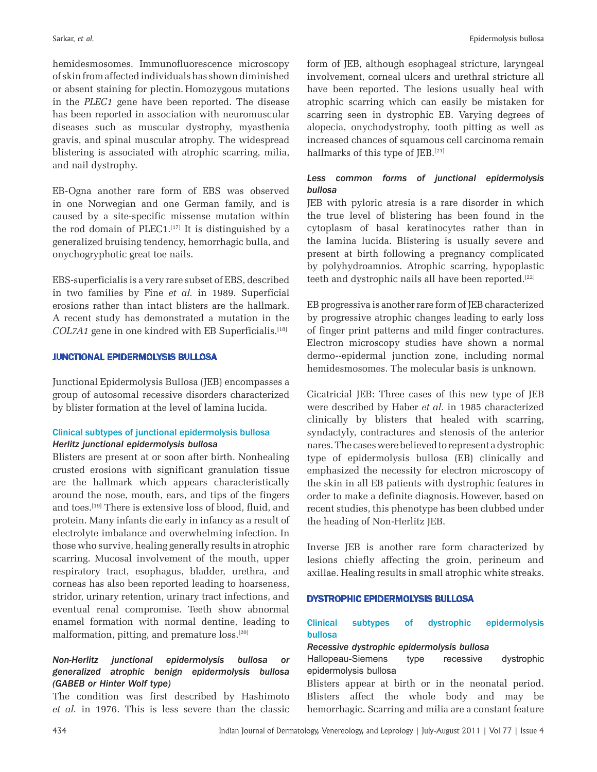hemidesmosomes. Immunofluorescence microscopy of skin from affected individuals has shown diminished or absent staining for plectin. Homozygous mutations in the *PLEC1* gene have been reported. The disease has been reported in association with neuromuscular diseases such as muscular dystrophy, myasthenia gravis, and spinal muscular atrophy. The widespread blistering is associated with atrophic scarring, milia, and nail dystrophy.

EB-Ogna another rare form of EBS was observed in one Norwegian and one German family, and is caused by a site-specific missense mutation within the rod domain of PLEC1. $[17]$  It is distinguished by a generalized bruising tendency, hemorrhagic bulla, and onychogryphotic great toe nails.

EBS-superficialis is a very rare subset of EBS, described in two families by Fine *et al.* in 1989. Superficial erosions rather than intact blisters are the hallmark. A recent study has demonstrated a mutation in the *COL7A1* gene in one kindred with EB Superficialis.[18]

#### JUNCTIONAL EPIDERMOLYSIS BULLOSA

Junctional Epidermolysis Bullosa (JEB) encompasses a group of autosomal recessive disorders characterized by blister formation at the level of lamina lucida.

## Clinical subtypes of junctional epidermolysis bullosa *Herlitz junctional epidermolysis bullosa*

Blisters are present at or soon after birth. Nonhealing crusted erosions with significant granulation tissue are the hallmark which appears characteristically around the nose, mouth, ears, and tips of the fingers and toes.[19] There is extensive loss of blood, fluid, and protein. Many infants die early in infancy as a result of electrolyte imbalance and overwhelming infection. In those who survive, healing generally results in atrophic scarring. Mucosal involvement of the mouth, upper respiratory tract, esophagus, bladder, urethra, and corneas has also been reported leading to hoarseness, stridor, urinary retention, urinary tract infections, and eventual renal compromise. Teeth show abnormal enamel formation with normal dentine, leading to malformation, pitting, and premature loss.[20]

## *Non-Herlitz junctional epidermolysis bullosa or generalized atrophic benign epidermolysis bullosa (GABEB or Hinter Wolf type)*

The condition was first described by Hashimoto *et al.* in 1976. This is less severe than the classic form of JEB, although esophageal stricture, laryngeal involvement, corneal ulcers and urethral stricture all have been reported. The lesions usually heal with atrophic scarring which can easily be mistaken for scarring seen in dystrophic EB. Varying degrees of alopecia, onychodystrophy, tooth pitting as well as increased chances of squamous cell carcinoma remain hallmarks of this type of JEB.[21]

## *Less common forms of junctional epidermolysis bullosa*

JEB with pyloric atresia is a rare disorder in which the true level of blistering has been found in the cytoplasm of basal keratinocytes rather than in the lamina lucida. Blistering is usually severe and present at birth following a pregnancy complicated by polyhydroamnios. Atrophic scarring, hypoplastic teeth and dystrophic nails all have been reported.<sup>[22]</sup>

EB progressiva is another rare form of JEB characterized by progressive atrophic changes leading to early loss of finger print patterns and mild finger contractures. Electron microscopy studies have shown a normal dermo--epidermal junction zone, including normal hemidesmosomes. The molecular basis is unknown.

Cicatricial JEB: Three cases of this new type of JEB were described by Haber *et al.* in 1985 characterized clinically by blisters that healed with scarring, syndactyly, contractures and stenosis of the anterior nares. The cases were believed to represent a dystrophic type of epidermolysis bullosa (EB) clinically and emphasized the necessity for electron microscopy of the skin in all EB patients with dystrophic features in order to make a definite diagnosis. However, based on recent studies, this phenotype has been clubbed under the heading of Non-Herlitz JEB.

Inverse JEB is another rare form characterized by lesions chiefly affecting the groin, perineum and axillae. Healing results in small atrophic white streaks.

## DYSTROPHIC EPIDERMOLYSIS BULLOSA

## Clinical subtypes of dystrophic epidermolysis bullosa

## *Recessive dystrophic epidermolysis bullosa*

Hallopeau-Siemens type recessive dystrophic epidermolysis bullosa

Blisters appear at birth or in the neonatal period. Blisters affect the whole body and may be hemorrhagic. Scarring and milia are a constant feature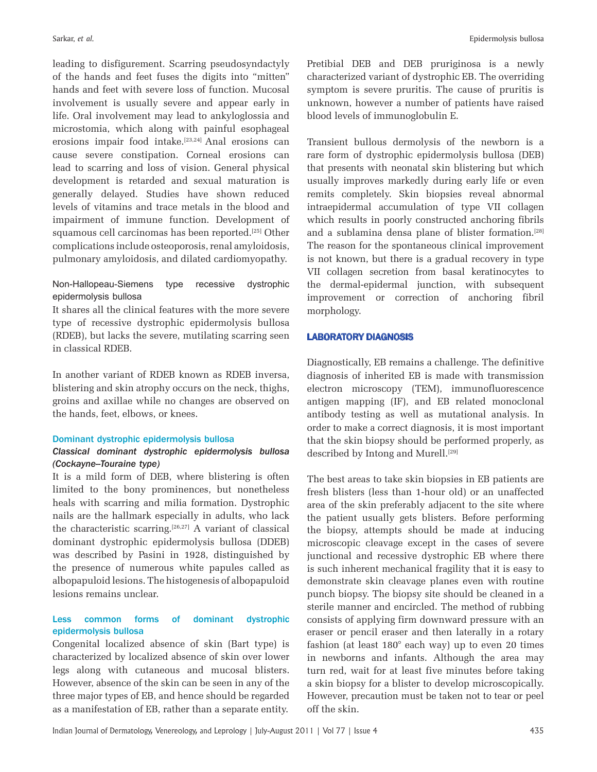leading to disfigurement. Scarring pseudosyndactyly of the hands and feet fuses the digits into "mitten" hands and feet with severe loss of function. Mucosal involvement is usually severe and appear early in life. Oral involvement may lead to ankyloglossia and microstomia, which along with painful esophageal erosions impair food intake.<sup>[23,24]</sup> Anal erosions can cause severe constipation. Corneal erosions can lead to scarring and loss of vision. General physical development is retarded and sexual maturation is generally delayed. Studies have shown reduced levels of vitamins and trace metals in the blood and impairment of immune function. Development of squamous cell carcinomas has been reported.[25] Other complications include osteoporosis, renal amyloidosis, pulmonary amyloidosis, and dilated cardiomyopathy.

## Non-Hallopeau-Siemens type recessive dystrophic epidermolysis bullosa

It shares all the clinical features with the more severe type of recessive dystrophic epidermolysis bullosa (RDEB), but lacks the severe, mutilating scarring seen in classical RDEB.

In another variant of RDEB known as RDEB inversa, blistering and skin atrophy occurs on the neck, thighs, groins and axillae while no changes are observed on the hands, feet, elbows, or knees.

#### Dominant dystrophic epidermolysis bullosa

## *Classical dominant dystrophic epidermolysis bullosa (Cockayne--Touraine type)*

It is a mild form of DEB, where blistering is often limited to the bony prominences, but nonetheless heals with scarring and milia formation. Dystrophic nails are the hallmark especially in adults, who lack the characteristic scarring.<sup>[26,27]</sup> A variant of classical dominant dystrophic epidermolysis bullosa (DDEB) was described by Pasini in 1928, distinguished by the presence of numerous white papules called as albopapuloid lesions. The histogenesis of albopapuloid lesions remains unclear.

## Less common forms of dominant dystrophic epidermolysis bullosa

Congenital localized absence of skin (Bart type) is characterized by localized absence of skin over lower legs along with cutaneous and mucosal blisters. However, absence of the skin can be seen in any of the three major types of EB, and hence should be regarded as a manifestation of EB, rather than a separate entity. Pretibial DEB and DEB pruriginosa is a newly characterized variant of dystrophic EB. The overriding symptom is severe pruritis. The cause of pruritis is unknown, however a number of patients have raised blood levels of immunoglobulin E.

Transient bullous dermolysis of the newborn is a rare form of dystrophic epidermolysis bullosa (DEB) that presents with neonatal skin blistering but which usually improves markedly during early life or even remits completely. Skin biopsies reveal abnormal intraepidermal accumulation of type VII collagen which results in poorly constructed anchoring fibrils and a sublamina densa plane of blister formation.[28] The reason for the spontaneous clinical improvement is not known, but there is a gradual recovery in type VII collagen secretion from basal keratinocytes to the dermal-epidermal junction, with subsequent improvement or correction of anchoring fibril morphology.

#### LABORATORY DIAGNOSIS

Diagnostically, EB remains a challenge. The definitive diagnosis of inherited EB is made with transmission electron microscopy (TEM), immunofluorescence antigen mapping (IF), and EB related monoclonal antibody testing as well as mutational analysis. In order to make a correct diagnosis, it is most important that the skin biopsy should be performed properly, as described by Intong and Murell.<sup>[29]</sup>

The best areas to take skin biopsies in EB patients are fresh blisters (less than 1-hour old) or an unaffected area of the skin preferably adjacent to the site where the patient usually gets blisters. Before performing the biopsy, attempts should be made at inducing microscopic cleavage except in the cases of severe junctional and recessive dystrophic EB where there is such inherent mechanical fragility that it is easy to demonstrate skin cleavage planes even with routine punch biopsy. The biopsy site should be cleaned in a sterile manner and encircled. The method of rubbing consists of applying firm downward pressure with an eraser or pencil eraser and then laterally in a rotary fashion (at least 180° each way) up to even 20 times in newborns and infants. Although the area may turn red, wait for at least five minutes before taking a skin biopsy for a blister to develop microscopically. However, precaution must be taken not to tear or peel off the skin.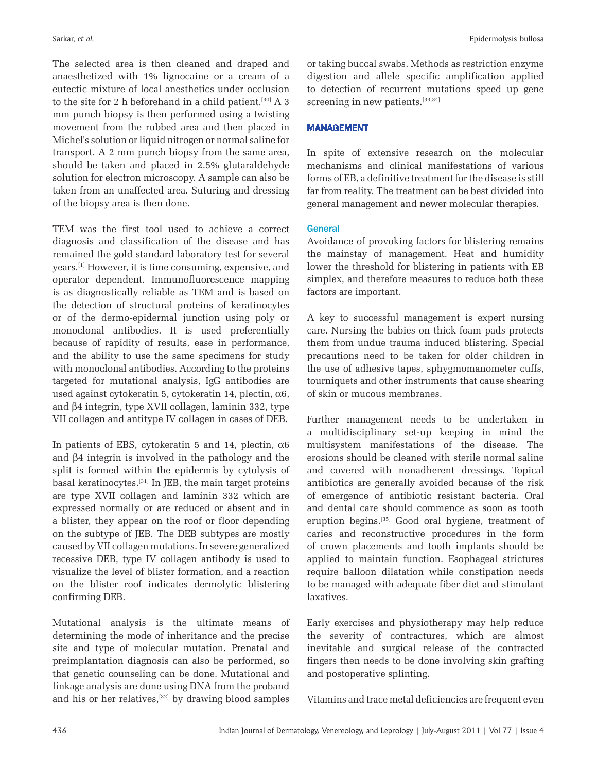The selected area is then cleaned and draped and anaesthetized with 1% lignocaine or a cream of a eutectic mixture of local anesthetics under occlusion to the site for 2 h beforehand in a child patient.<sup>[30]</sup> A 3 mm punch biopsy is then performed using a twisting movement from the rubbed area and then placed in Michel's solution or liquid nitrogen or normal saline for transport. A 2 mm punch biopsy from the same area, should be taken and placed in 2.5% glutaraldehyde solution for electron microscopy. A sample can also be taken from an unaffected area. Suturing and dressing of the biopsy area is then done.

TEM was the first tool used to achieve a correct diagnosis and classification of the disease and has remained the gold standard laboratory test for several years.[1] However, it is time consuming, expensive, and operator dependent. Immunofluorescence mapping is as diagnostically reliable as TEM and is based on the detection of structural proteins of keratinocytes or of the dermo-epidermal junction using poly or monoclonal antibodies. It is used preferentially because of rapidity of results, ease in performance, and the ability to use the same specimens for study with monoclonal antibodies. According to the proteins targeted for mutational analysis, IgG antibodies are used against cytokeratin 5, cytokeratin 14, plectin, α6, and β4 integrin, type XVII collagen, laminin 332, type VII collagen and antitype IV collagen in cases of DEB.

In patients of EBS, cytokeratin 5 and 14, plectin,  $α6$ and β4 integrin is involved in the pathology and the split is formed within the epidermis by cytolysis of basal keratinocytes.[31] In JEB, the main target proteins are type XVII collagen and laminin 332 which are expressed normally or are reduced or absent and in a blister, they appear on the roof or floor depending on the subtype of JEB. The DEB subtypes are mostly caused by VII collagen mutations. In severe generalized recessive DEB, type IV collagen antibody is used to visualize the level of blister formation, and a reaction on the blister roof indicates dermolytic blistering confirming DEB.

Mutational analysis is the ultimate means of determining the mode of inheritance and the precise site and type of molecular mutation. Prenatal and preimplantation diagnosis can also be performed, so that genetic counseling can be done. Mutational and linkage analysis are done using DNA from the proband and his or her relatives,[32] by drawing blood samples or taking buccal swabs. Methods as restriction enzyme digestion and allele specific amplification applied to detection of recurrent mutations speed up gene screening in new patients.<sup>[33,34]</sup>

## MANAGEMENT

In spite of extensive research on the molecular mechanisms and clinical manifestations of various forms of EB, a definitive treatment for the disease is still far from reality. The treatment can be best divided into general management and newer molecular therapies.

## General

Avoidance of provoking factors for blistering remains the mainstay of management. Heat and humidity lower the threshold for blistering in patients with EB simplex, and therefore measures to reduce both these factors are important.

A key to successful management is expert nursing care. Nursing the babies on thick foam pads protects them from undue trauma induced blistering. Special precautions need to be taken for older children in the use of adhesive tapes, sphygmomanometer cuffs, tourniquets and other instruments that cause shearing of skin or mucous membranes.

Further management needs to be undertaken in a multidisciplinary set-up keeping in mind the multisystem manifestations of the disease. The erosions should be cleaned with sterile normal saline and covered with nonadherent dressings. Topical antibiotics are generally avoided because of the risk of emergence of antibiotic resistant bacteria. Oral and dental care should commence as soon as tooth eruption begins.[35] Good oral hygiene, treatment of caries and reconstructive procedures in the form of crown placements and tooth implants should be applied to maintain function. Esophageal strictures require balloon dilatation while constipation needs to be managed with adequate fiber diet and stimulant laxatives.

Early exercises and physiotherapy may help reduce the severity of contractures, which are almost inevitable and surgical release of the contracted fingers then needs to be done involving skin grafting and postoperative splinting.

Vitamins and trace metal deficiencies are frequent even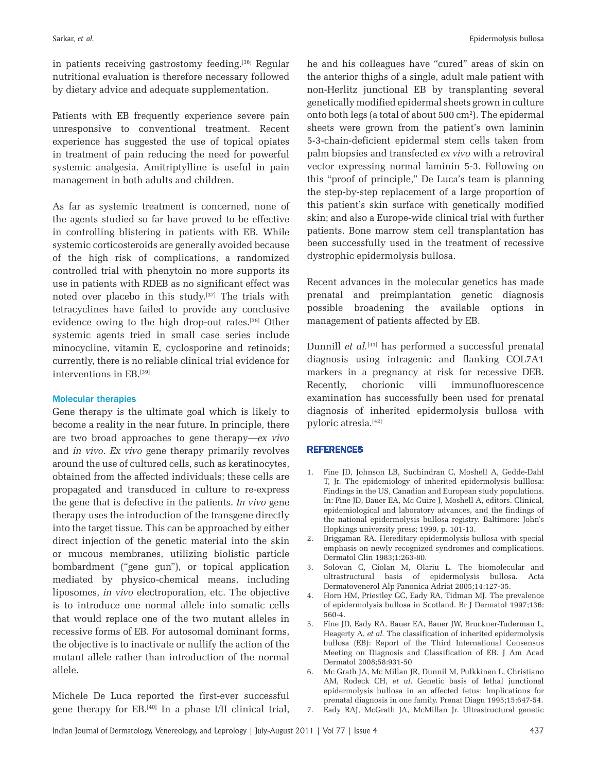in patients receiving gastrostomy feeding.<sup>[36]</sup> Regular nutritional evaluation is therefore necessary followed by dietary advice and adequate supplementation.

Patients with EB frequently experience severe pain unresponsive to conventional treatment. Recent experience has suggested the use of topical opiates in treatment of pain reducing the need for powerful systemic analgesia. Amitriptylline is useful in pain management in both adults and children.

As far as systemic treatment is concerned, none of the agents studied so far have proved to be effective in controlling blistering in patients with EB. While systemic corticosteroids are generally avoided because of the high risk of complications, a randomized controlled trial with phenytoin no more supports its use in patients with RDEB as no significant effect was noted over placebo in this study.[37] The trials with tetracyclines have failed to provide any conclusive evidence owing to the high drop-out rates.[38] Other systemic agents tried in small case series include minocycline, vitamin E, cyclosporine and retinoids; currently, there is no reliable clinical trial evidence for interventions in EB.[39]

## Molecular therapies

Gene therapy is the ultimate goal which is likely to become a reality in the near future. In principle, there are two broad approaches to gene therapy—*ex vivo* and *in vivo*. *Ex vivo* gene therapy primarily revolves around the use of cultured cells, such as keratinocytes, obtained from the affected individuals; these cells are propagated and transduced in culture to re-express the gene that is defective in the patients. *In vivo* gene therapy uses the introduction of the transgene directly into the target tissue. This can be approached by either direct injection of the genetic material into the skin or mucous membranes, utilizing biolistic particle bombardment ("gene gun"), or topical application mediated by physico-chemical means, including liposomes, *in vivo* electroporation, etc. The objective is to introduce one normal allele into somatic cells that would replace one of the two mutant alleles in recessive forms of EB. For autosomal dominant forms, the objective is to inactivate or nullify the action of the mutant allele rather than introduction of the normal allele.

Michele De Luca reported the first-ever successful gene therapy for EB.[40] In a phase I/II clinical trial,

he and his colleagues have "cured" areas of skin on the anterior thighs of a single, adult male patient with non-Herlitz junctional EB by transplanting several genetically modified epidermal sheets grown in culture onto both legs (a total of about 500 cm2 ). The epidermal sheets were grown from the patient's own laminin 5-3-chain-deficient epidermal stem cells taken from palm biopsies and transfected *ex vivo* with a retroviral vector expressing normal laminin 5-3. Following on this "proof of principle," De Luca's team is planning the step-by-step replacement of a large proportion of this patient's skin surface with genetically modified skin; and also a Europe-wide clinical trial with further patients. Bone marrow stem cell transplantation has been successfully used in the treatment of recessive dystrophic epidermolysis bullosa.

Recent advances in the molecular genetics has made prenatal and preimplantation genetic diagnosis possible broadening the available options in management of patients affected by EB.

Dunnill *et al.*<sup>[41]</sup> has performed a successful prenatal diagnosis using intragenic and flanking COL7A1 markers in a pregnancy at risk for recessive DEB. Recently, chorionic villi immunofluorescence examination has successfully been used for prenatal diagnosis of inherited epidermolysis bullosa with pyloric atresia.<sup>[42]</sup>

## REFERENCES

- 1. Fine JD, Johnson LB, Suchindran C, Moshell A, Gedde-Dahl T, Jr. The epidemiology of inherited epidermolysis bulllosa: Findings in the US, Canadian and European study populations. In: Fine JD, Bauer EA, Mc Guire J, Moshell A, editors. Clinical, epidemiological and laboratory advances, and the findings of the national epidermolysis bullosa registry. Baltimore: John's Hopkings university press; 1999. p. 101-13.
- 2. Briggaman RA. Hereditary epidermolysis bullosa with special emphasis on newly recognized syndromes and complications. Dermatol Clin 1983;1:263-80.
- 3. Solovan C, Ciolan M, Olariu L. The biomolecular and ultrastructural basis of epidermolysis bullosa. Acta Dermatovenerol Alp Panonica Adriat 2005;14:127-35.
- 4. Horn HM, Priestley GC, Eady RA, Tidman MJ. The prevalence of epidermolysis bullosa in Scotland. Br J Dermatol 1997;136: 560-4.
- 5. Fine JD, Eady RA, Bauer EA, Bauer JW, Bruckner-Tuderman L, Heagerty A, *et al.* The classification of inherited epidermolysis bullosa (EB): Report of the Third International Consensus Meeting on Diagnosis and Classification of EB. J Am Acad Dermatol 2008;58:931-50
- 6. Mc Grath JA, Mc Millan JR, Dunnil M, Pulkkinen L, Christiano AM, Rodeck CH, *et al*. Genetic basis of lethal junctional epidermolysis bullosa in an affected fetus: Implications for prenatal diagnosis in one family. Prenat Diagn 1995;15:647-54.
- 7. Eady RAJ, McGrath JA, McMillan Jr. Ultrastructural genetic